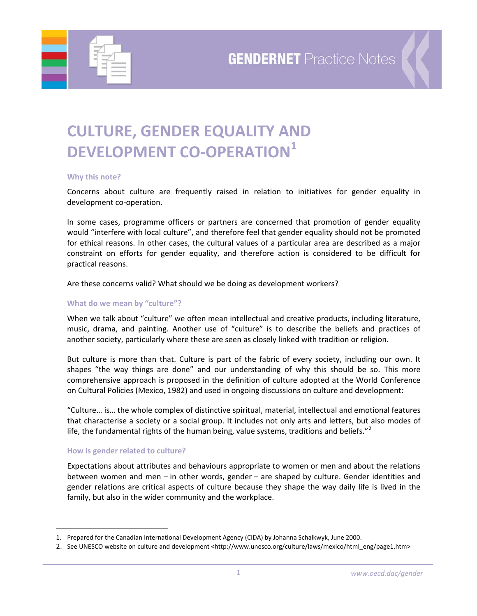

# **CULTURE, GENDER EQUALITY AND DEVELOPMENT CO‐OPERATION[1](#page-0-0)**

#### **Why this note?**

Concerns about culture are frequently raised in relation to initiatives for gender equality in development co‐operation.

In some cases, programme officers or partners are concerned that promotion of gender equality would "interfere with local culture", and therefore feel that gender equality should not be promoted for ethical reasons. In other cases, the cultural values of a particular area are described as a major constraint on efforts for gender equality, and therefore action is considered to be difficult for practical reasons.

Are these concerns valid? What should we be doing as development workers?

## **What do we mean by "culture"?**

When we talk about "culture" we often mean intellectual and creative products, including literature, music, drama, and painting. Another use of "culture" is to describe the beliefs and practices of another society, particularly where these are seen as closely linked with tradition or religion.

But culture is more than that. Culture is part of the fabric of every society, including our own. It shapes "the way things are done" and our understanding of why this should be so. This more comprehensive approach is proposed in the definition of culture adopted at the World Conference on Cultural Policies (Mexico, 1982) and used in ongoing discussions on culture and development:

"Culture… is… the whole complex of distinctive spiritual, material, intellectual and emotional features that characterise a society or a social group. It includes not only arts and letters, but also modes of life, the fundamental rights of the human being, value systems, traditions and beliefs."<sup>[2](#page-0-1)</sup>

## **How is gender related to culture?**

 $\overline{a}$ 

Expectations about attributes and behaviours appropriate to women or men and about the relations between women and men – in other words, gender – are shaped by culture. Gender identities and gender relations are critical aspects of culture because they shape the way daily life is lived in the family, but also in the wider community and the workplace.

<span id="page-0-0"></span><sup>1.</sup> Prepared for the Canadian International Development Agency (CIDA) by Johanna Schalkwyk, June 2000.

<span id="page-0-1"></span><sup>2.</sup> See UNESCO website on culture and development <http://www.unesco.org/culture/laws/mexico/html\_eng/page1.htm>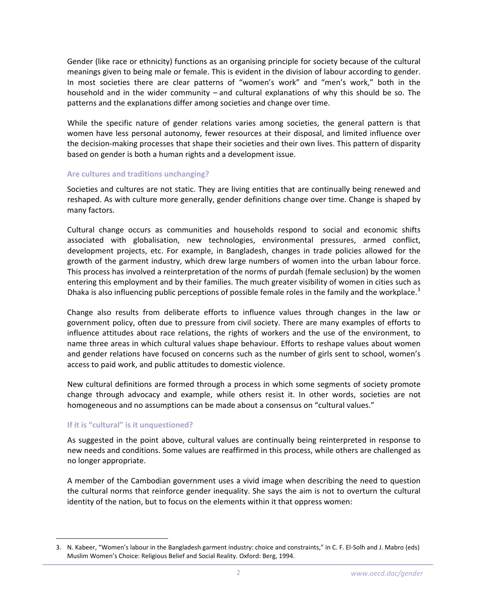Gender (like race or ethnicity) functions as an organising principle for society because of the cultural meanings given to being male or female. This is evident in the division of labour according to gender. In most societies there are clear patterns of "women's work" and "men's work," both in the household and in the wider community – and cultural explanations of why this should be so. The patterns and the explanations differ among societies and change over time.

While the specific nature of gender relations varies among societies, the general pattern is that women have less personal autonomy, fewer resources at their disposal, and limited influence over the decision‐making processes that shape their societies and their own lives. This pattern of disparity based on gender is both a human rights and a development issue.

## **Are cultures and traditions unchanging?**

Societies and cultures are not static. They are living entities that are continually being renewed and reshaped. As with culture more generally, gender definitions change over time. Change is shaped by many factors.

Cultural change occurs as communities and households respond to social and economic shifts associated with globalisation, new technologies, environmental pressures, armed conflict, development projects, etc. For example, in Bangladesh, changes in trade policies allowed for the growth of the garment industry, which drew large numbers of women into the urban labour force. This process has involved a reinterpretation of the norms of purdah (female seclusion) by the women entering this employment and by their families. The much greater visibility of women in cities such as Dhaka is also influencing public perceptions of possible female roles in the family and the workplace.<sup>[3](#page-1-0)</sup>

Change also results from deliberate efforts to influence values through changes in the law or government policy, often due to pressure from civil society. There are many examples of efforts to influence attitudes about race relations, the rights of workers and the use of the environment, to name three areas in which cultural values shape behaviour. Efforts to reshape values about women and gender relations have focused on concerns such as the number of girls sent to school, women's access to paid work, and public attitudes to domestic violence.

New cultural definitions are formed through a process in which some segments of society promote change through advocacy and example, while others resist it. In other words, societies are not homogeneous and no assumptions can be made about a consensus on "cultural values."

## **If it is "cultural" is it unquestioned?**

 $\overline{a}$ 

As suggested in the point above, cultural values are continually being reinterpreted in response to new needs and conditions. Some values are reaffirmed in this process, while others are challenged as no longer appropriate.

A member of the Cambodian government uses a vivid image when describing the need to question the cultural norms that reinforce gender inequality. She says the aim is not to overturn the cultural identity of the nation, but to focus on the elements within it that oppress women:

<span id="page-1-0"></span><sup>3.</sup> N. Kabeer, "Women's labour in the Bangladesh garment industry: choice and constraints," in C. F. El‐Solh and J. Mabro (eds) Muslim Women's Choice: Religious Belief and Social Reality. Oxford: Berg, 1994.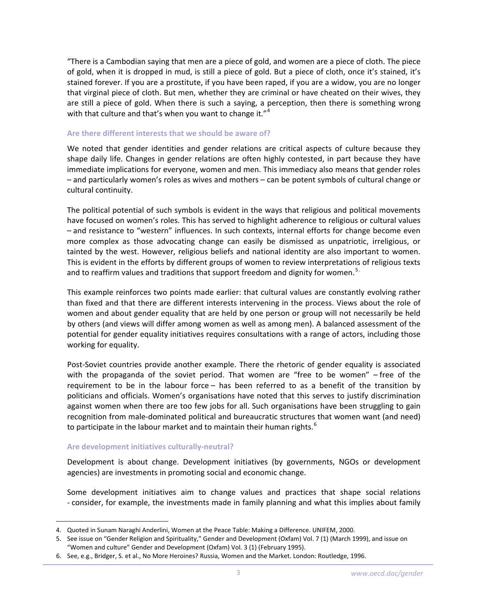"There is a Cambodian saying that men are a piece of gold, and women are a piece of cloth. The piece of gold, when it is dropped in mud, is still a piece of gold. But a piece of cloth, once it's stained, it's stained forever. If you are a prostitute, if you have been raped, if you are a widow, you are no longer that virginal piece of cloth. But men, whether they are criminal or have cheated on their wives, they are still a piece of gold. When there is such a saying, a perception, then there is something wrong with that culture and that's when you want to change it."<sup>[4](#page-2-0)</sup>

#### **Are there different interests that we should be aware of?**

We noted that gender identities and gender relations are critical aspects of culture because they shape daily life. Changes in gender relations are often highly contested, in part because they have immediate implications for everyone, women and men. This immediacy also means that gender roles – and particularly women's roles as wives and mothers – can be potent symbols of cultural change or cultural continuity.

The political potential of such symbols is evident in the ways that religious and political movements have focused on women's roles. This has served to highlight adherence to religious or cultural values – and resistance to "western" influences. In such contexts, internal efforts for change become even more complex as those advocating change can easily be dismissed as unpatriotic, irreligious, or tainted by the west. However, religious beliefs and national identity are also important to women. This is evident in the efforts by different groups of women to review interpretations of religious texts and to reaffirm values and traditions that support freedom and dignity for women. $5<sup>5</sup>$  $5<sup>5</sup>$ 

This example reinforces two points made earlier: that cultural values are constantly evolving rather than fixed and that there are different interests intervening in the process. Views about the role of women and about gender equality that are held by one person or group will not necessarily be held by others (and views will differ among women as well as among men). A balanced assessment of the potential for gender equality initiatives requires consultations with a range of actors, including those working for equality.

Post-Soviet countries provide another example. There the rhetoric of gender equality is associated with the propaganda of the soviet period. That women are "free to be women" – free of the requirement to be in the labour force – has been referred to as a benefit of the transition by politicians and officials. Women's organisations have noted that this serves to justify discrimination against women when there are too few jobs for all. Such organisations have been struggling to gain recognition from male‐dominated political and bureaucratic structures that women want (and need) to participate in the labour market and to maintain their human rights.<sup>[6](#page-2-2)</sup>

#### **Are development initiatives culturally‐neutral?**

 $\overline{a}$ 

Development is about change. Development initiatives (by governments, NGOs or development agencies) are investments in promoting social and economic change.

Some development initiatives aim to change values and practices that shape social relations ‐ consider, for example, the investments made in family planning and what this implies about family

<span id="page-2-0"></span><sup>4.</sup> Quoted in Sunam Naraghi Anderlini, Women at the Peace Table: Making a Difference. UNIFEM, 2000.

<span id="page-2-1"></span><sup>5.</sup> See issue on "Gender Religion and Spirituality," Gender and Development (Oxfam) Vol. 7 (1) (March 1999), and issue on "Women and culture" Gender and Development (Oxfam) Vol. 3 (1) (February 1995).

<span id="page-2-2"></span><sup>6.</sup> See, e.g., Bridger, S. et al., No More Heroines? Russia, Women and the Market. London: Routledge, 1996.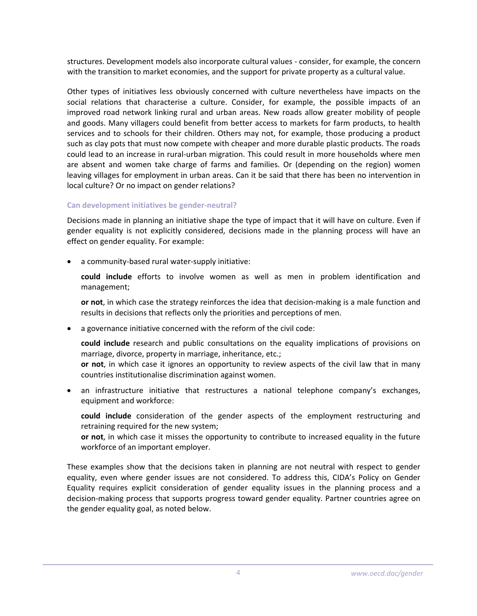structures. Development models also incorporate cultural values ‐ consider, for example, the concern with the transition to market economies, and the support for private property as a cultural value.

Other types of initiatives less obviously concerned with culture nevertheless have impacts on the social relations that characterise a culture. Consider, for example, the possible impacts of an improved road network linking rural and urban areas. New roads allow greater mobility of people and goods. Many villagers could benefit from better access to markets for farm products, to health services and to schools for their children. Others may not, for example, those producing a product such as clay pots that must now compete with cheaper and more durable plastic products. The roads could lead to an increase in rural‐urban migration. This could result in more households where men are absent and women take charge of farms and families. Or (depending on the region) women leaving villages for employment in urban areas. Can it be said that there has been no intervention in local culture? Or no impact on gender relations?

## **Can development initiatives be gender‐neutral?**

Decisions made in planning an initiative shape the type of impact that it will have on culture. Even if gender equality is not explicitly considered, decisions made in the planning process will have an effect on gender equality. For example:

a community-based rural water-supply initiative:

**could include** efforts to involve women as well as men in problem identification and management;

**or not**, in which case the strategy reinforces the idea that decision‐making is a male function and results in decisions that reflects only the priorities and perceptions of men.

a governance initiative concerned with the reform of the civil code:

**could include** research and public consultations on the equality implications of provisions on marriage, divorce, property in marriage, inheritance, etc.; **or not**, in which case it ignores an opportunity to review aspects of the civil law that in many countries institutionalise discrimination against women.

• an infrastructure initiative that restructures a national telephone company's exchanges, equipment and workforce:

**could include** consideration of the gender aspects of the employment restructuring and retraining required for the new system;

**or not**, in which case it misses the opportunity to contribute to increased equality in the future workforce of an important employer.

These examples show that the decisions taken in planning are not neutral with respect to gender equality, even where gender issues are not considered. To address this, CIDA's Policy on Gender Equality requires explicit consideration of gender equality issues in the planning process and a decision‐making process that supports progress toward gender equality. Partner countries agree on the gender equality goal, as noted below.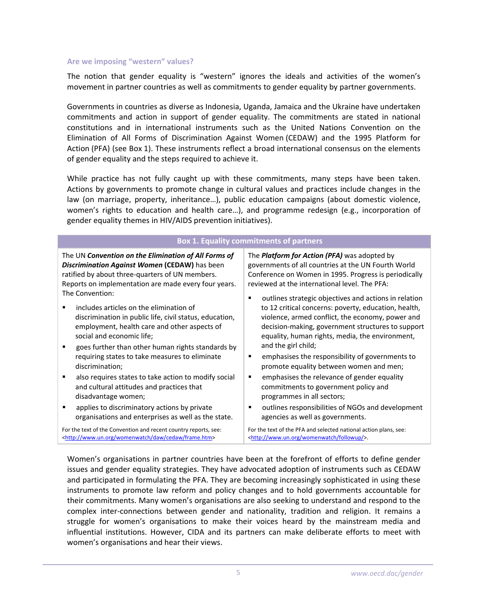#### **Are we imposing "western" values?**

The notion that gender equality is "western" ignores the ideals and activities of the women's movement in partner countries as well as commitments to gender equality by partner governments.

Governments in countries as diverse as Indonesia, Uganda, Jamaica and the Ukraine have undertaken commitments and action in support of gender equality. The commitments are stated in national constitutions and in international instruments such as the United Nations Convention on the Elimination of All Forms of Discrimination Against Women (CEDAW) and the 1995 Platform for Action (PFA) (see Box 1). These instruments reflect a broad international consensus on the elements of gender equality and the steps required to achieve it.

While practice has not fully caught up with these commitments, many steps have been taken. Actions by governments to promote change in cultural values and practices include changes in the law (on marriage, property, inheritance…), public education campaigns (about domestic violence, women's rights to education and health care…), and programme redesign (e.g., incorporation of gender equality themes in HIV/AIDS prevention initiatives).

| <b>Box 1. Equality commitments of partners</b>                           |                                                                  |  |
|--------------------------------------------------------------------------|------------------------------------------------------------------|--|
| The UN Convention on the Elimination of All Forms of                     | The <i>Platform for Action (PFA)</i> was adopted by              |  |
| Discrimination Against Women (CEDAW) has been                            | governments of all countries at the UN Fourth World              |  |
| ratified by about three-quarters of UN members.                          | Conference on Women in 1995. Progress is periodically            |  |
| Reports on implementation are made every four years.                     | reviewed at the international level. The PFA:                    |  |
| The Convention:                                                          | outlines strategic objectives and actions in relation            |  |
| includes articles on the elimination of                                  | to 12 critical concerns: poverty, education, health,             |  |
| discrimination in public life, civil status, education,                  | violence, armed conflict, the economy, power and                 |  |
| employment, health care and other aspects of                             | decision-making, government structures to support                |  |
| social and economic life;                                                | equality, human rights, media, the environment,                  |  |
| goes further than other human rights standards by                        | and the girl child;                                              |  |
| requiring states to take measures to eliminate                           | emphasises the responsibility of governments to                  |  |
| discrimination;                                                          | promote equality between women and men;                          |  |
| also requires states to take action to modify social                     | emphasises the relevance of gender equality                      |  |
| and cultural attitudes and practices that                                | commitments to government policy and                             |  |
| disadvantage women;                                                      | programmes in all sectors;                                       |  |
| applies to discriminatory actions by private                             | outlines responsibilities of NGOs and development                |  |
| organisations and enterprises as well as the state.                      | agencies as well as governments.                                 |  |
| For the text of the Convention and recent country reports, see:          | For the text of the PFA and selected national action plans, see: |  |
| <http: cedaw="" daw="" frame.htm="" womenwatch="" www.un.org=""></http:> | <http: followup="" womenwatch="" www.un.org=""></http:> .        |  |

Women's organisations in partner countries have been at the forefront of efforts to define gender issues and gender equality strategies. They have advocated adoption of instruments such as CEDAW and participated in formulating the PFA. They are becoming increasingly sophisticated in using these instruments to promote law reform and policy changes and to hold governments accountable for their commitments. Many women's organisations are also seeking to understand and respond to the complex inter‐connections between gender and nationality, tradition and religion. It remains a struggle for women's organisations to make their voices heard by the mainstream media and influential institutions. However, CIDA and its partners can make deliberate efforts to meet with women's organisations and hear their views.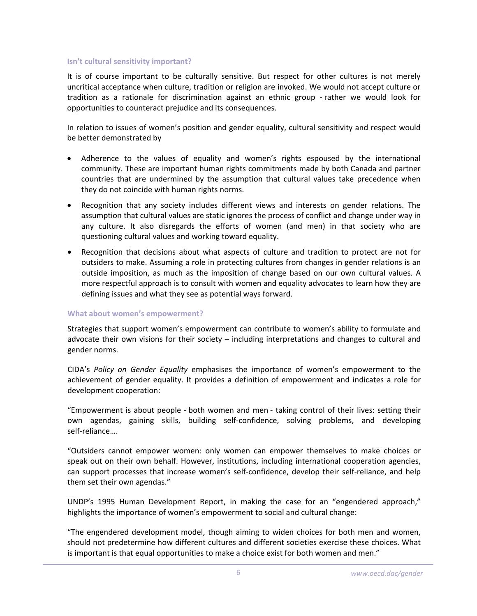## **Isn't cultural sensitivity important?**

It is of course important to be culturally sensitive. But respect for other cultures is not merely uncritical acceptance when culture, tradition or religion are invoked. We would not accept culture or tradition as a rationale for discrimination against an ethnic group ‐ rather we would look for opportunities to counteract prejudice and its consequences.

In relation to issues of women's position and gender equality, cultural sensitivity and respect would be better demonstrated by

- Adherence to the values of equality and women's rights espoused by the international community. These are important human rights commitments made by both Canada and partner countries that are undermined by the assumption that cultural values take precedence when they do not coincide with human rights norms.
- Recognition that any society includes different views and interests on gender relations. The assumption that cultural values are static ignores the process of conflict and change under way in any culture. It also disregards the efforts of women (and men) in that society who are questioning cultural values and working toward equality.
- Recognition that decisions about what aspects of culture and tradition to protect are not for outsiders to make. Assuming a role in protecting cultures from changes in gender relations is an outside imposition, as much as the imposition of change based on our own cultural values. A more respectful approach is to consult with women and equality advocates to learn how they are defining issues and what they see as potential ways forward.

#### **What about women's empowerment?**

Strategies that support women's empowerment can contribute to women's ability to formulate and advocate their own visions for their society – including interpretations and changes to cultural and gender norms.

CIDA's *Policy on Gender Equality* emphasises the importance of women's empowerment to the achievement of gender equality. It provides a definition of empowerment and indicates a role for development cooperation:

"Empowerment is about people ‐ both women and men ‐ taking control of their lives: setting their own agendas, gaining skills, building self‐confidence, solving problems, and developing self‐reliance….

"Outsiders cannot empower women: only women can empower themselves to make choices or speak out on their own behalf. However, institutions, including international cooperation agencies, can support processes that increase women's self‐confidence, develop their self‐reliance, and help them set their own agendas."

UNDP's 1995 Human Development Report, in making the case for an "engendered approach," highlights the importance of women's empowerment to social and cultural change:

"The engendered development model, though aiming to widen choices for both men and women, should not predetermine how different cultures and different societies exercise these choices. What is important is that equal opportunities to make a choice exist for both women and men."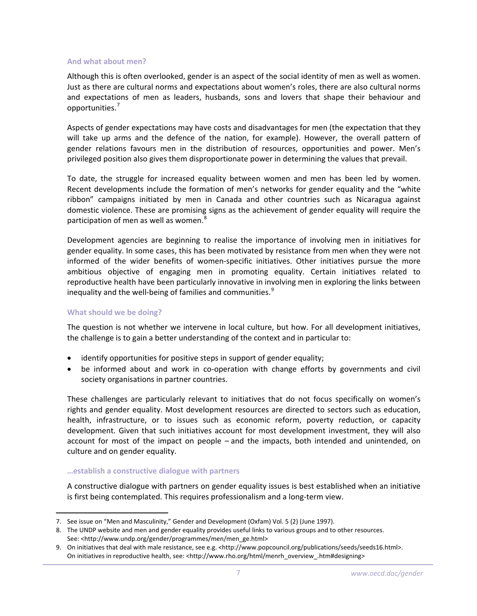#### **And what about men?**

Although this is often overlooked, gender is an aspect of the social identity of men as well as women. Just as there are cultural norms and expectations about women's roles, there are also cultural norms and expectations of men as leaders, husbands, sons and lovers that shape their behaviour and opportunities.[7](#page-6-0)

Aspects of gender expectations may have costs and disadvantages for men (the expectation that they will take up arms and the defence of the nation, for example). However, the overall pattern of gender relations favours men in the distribution of resources, opportunities and power. Men's privileged position also gives them disproportionate power in determining the values that prevail.

To date, the struggle for increased equality between women and men has been led by women. Recent developments include the formation of men's networks for gender equality and the "white ribbon" campaigns initiated by men in Canada and other countries such as Nicaragua against domestic violence. These are promising signs as the achievement of gender equality will require the participation of men as well as women.<sup>[8](#page-6-1)</sup>

Development agencies are beginning to realise the importance of involving men in initiatives for gender equality. In some cases, this has been motivated by resistance from men when they were not informed of the wider benefits of women‐specific initiatives. Other initiatives pursue the more ambitious objective of engaging men in promoting equality. Certain initiatives related to reproductive health have been particularly innovative in involving men in exploring the links between inequality and the well-being of families and communities.<sup>[9](#page-6-2)</sup>

## **What should we be doing?**

 $\overline{a}$ 

The question is not whether we intervene in local culture, but how. For all development initiatives, the challenge is to gain a better understanding of the context and in particular to:

- identify opportunities for positive steps in support of gender equality;
- be informed about and work in co-operation with change efforts by governments and civil society organisations in partner countries.

These challenges are particularly relevant to initiatives that do not focus specifically on women's rights and gender equality. Most development resources are directed to sectors such as education, health, infrastructure, or to issues such as economic reform, poverty reduction, or capacity development. Given that such initiatives account for most development investment, they will also account for most of the impact on people – and the impacts, both intended and unintended, on culture and on gender equality.

## **…establish a constructive dialogue with partners**

A constructive dialogue with partners on gender equality issues is best established when an initiative is first being contemplated. This requires professionalism and a long-term view.

<span id="page-6-0"></span><sup>7.</sup> See issue on "Men and Masculinity," Gender and Development (Oxfam) Vol. 5 (2) (June 1997).

<span id="page-6-1"></span><sup>8.</sup> The UNDP website and men and gender equality provides useful links to various groups and to other resources. See: <http://www.undp.org/gender/programmes/men/men\_ge.html>

<span id="page-6-2"></span><sup>9.</sup> On initiatives that deal with male resistance, see e.g. <http://www.popcouncil.org/publications/seeds/seeds16.html>. On initiatives in reproductive health, see: <http://www.rho.org/html/menrh\_overview\_.htm#designing>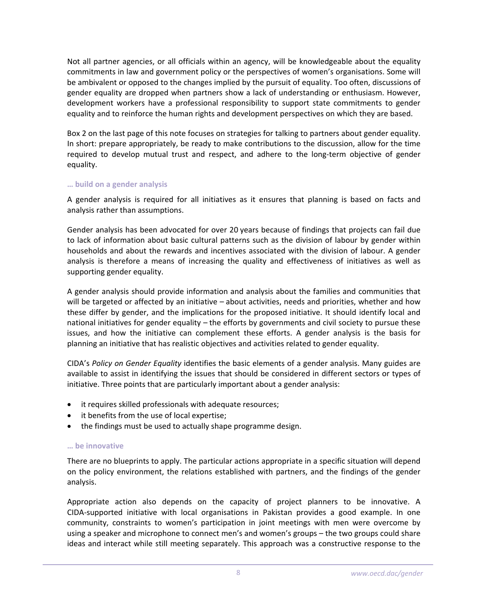Not all partner agencies, or all officials within an agency, will be knowledgeable about the equality commitments in law and government policy or the perspectives of women's organisations. Some will be ambivalent or opposed to the changes implied by the pursuit of equality. Too often, discussions of gender equality are dropped when partners show a lack of understanding or enthusiasm. However, development workers have a professional responsibility to support state commitments to gender equality and to reinforce the human rights and development perspectives on which they are based.

Box 2 on the last page of this note focuses on strategies for talking to partners about gender equality. In short: prepare appropriately, be ready to make contributions to the discussion, allow for the time required to develop mutual trust and respect, and adhere to the long-term objective of gender equality.

## **… build on a gender analysis**

A gender analysis is required for all initiatives as it ensures that planning is based on facts and analysis rather than assumptions.

Gender analysis has been advocated for over 20 years because of findings that projects can fail due to lack of information about basic cultural patterns such as the division of labour by gender within households and about the rewards and incentives associated with the division of labour. A gender analysis is therefore a means of increasing the quality and effectiveness of initiatives as well as supporting gender equality.

A gender analysis should provide information and analysis about the families and communities that will be targeted or affected by an initiative – about activities, needs and priorities, whether and how these differ by gender, and the implications for the proposed initiative. It should identify local and national initiatives for gender equality – the efforts by governments and civil society to pursue these issues, and how the initiative can complement these efforts. A gender analysis is the basis for planning an initiative that has realistic objectives and activities related to gender equality.

CIDA's *Policy on Gender Equality* identifies the basic elements of a gender analysis. Many guides are available to assist in identifying the issues that should be considered in different sectors or types of initiative. Three points that are particularly important about a gender analysis:

- it requires skilled professionals with adequate resources;
- it benefits from the use of local expertise;
- the findings must be used to actually shape programme design.

## **… be innovative**

There are no blueprints to apply. The particular actions appropriate in a specific situation will depend on the policy environment, the relations established with partners, and the findings of the gender analysis.

Appropriate action also depends on the capacity of project planners to be innovative. A CIDA‐supported initiative with local organisations in Pakistan provides a good example. In one community, constraints to women's participation in joint meetings with men were overcome by using a speaker and microphone to connect men's and women's groups – the two groups could share ideas and interact while still meeting separately. This approach was a constructive response to the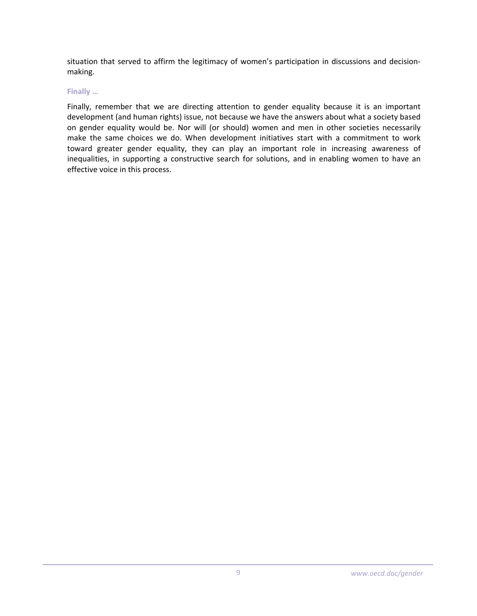situation that served to affirm the legitimacy of women's participation in discussions and decision‐ making.

## **Finally …**

Finally, remember that we are directing attention to gender equality because it is an important development (and human rights) issue, not because we have the answers about what a society based on gender equality would be. Nor will (or should) women and men in other societies necessarily make the same choices we do. When development initiatives start with a commitment to work toward greater gender equality, they can play an important role in increasing awareness of inequalities, in supporting a constructive search for solutions, and in enabling women to have an effective voice in this process.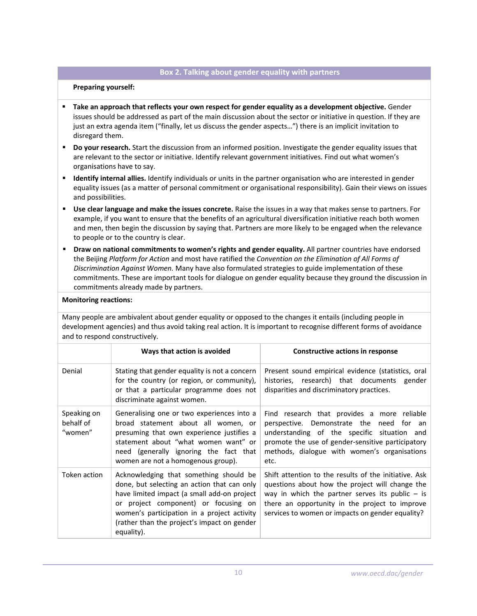## **Box 2. Talking about gender equality with partners**

#### **Preparing yourself:**

- **Take an approach that reflects your own respect for gender equality as a development objective.** Gender issues should be addressed as part of the main discussion about the sector or initiative in question. If they are just an extra agenda item ("finally, let us discuss the gender aspects…") there is an implicit invitation to disregard them.
- **Do your research.** Start the discussion from an informed position. Investigate the gender equality issues that are relevant to the sector or initiative. Identify relevant government initiatives. Find out what women's organisations have to say.
- **Identify internal allies.** Identify individuals or units in the partner organisation who are interested in gender equality issues (as a matter of personal commitment or organisational responsibility). Gain their views on issues and possibilities.
- **Use clear language and make the issues concrete.** Raise the issues in a way that makes sense to partners. For example, if you want to ensure that the benefits of an agricultural diversification initiative reach both women and men, then begin the discussion by saying that. Partners are more likely to be engaged when the relevance to people or to the country is clear.
- **Draw on national commitments to women's rights and gender equality.** All partner countries have endorsed the Beijing *Platform for Action* and most have ratified the *Convention on the Elimination of All Forms of Discrimination Against Women.* Many have also formulated strategies to guide implementation of these commitments. These are important tools for dialogue on gender equality because they ground the discussion in commitments already made by partners.

#### **Monitoring reactions:**

Many people are ambivalent about gender equality or opposed to the changes it entails (including people in development agencies) and thus avoid taking real action. It is important to recognise different forms of avoidance and to respond constructively.

|                                     | Ways that action is avoided                                                                                                                                                                                                                                                              | Constructive actions in response                                                                                                                                                                                                                                    |
|-------------------------------------|------------------------------------------------------------------------------------------------------------------------------------------------------------------------------------------------------------------------------------------------------------------------------------------|---------------------------------------------------------------------------------------------------------------------------------------------------------------------------------------------------------------------------------------------------------------------|
| Denial                              | Stating that gender equality is not a concern<br>for the country (or region, or community),<br>or that a particular programme does not<br>discriminate against women.                                                                                                                    | Present sound empirical evidence (statistics, oral<br>histories, research) that documents<br>gender<br>disparities and discriminatory practices.                                                                                                                    |
| Speaking on<br>behalf of<br>"women" | Generalising one or two experiences into a<br>broad statement about all women, or<br>presuming that own experience justifies a<br>statement about "what women want" or<br>need (generally ignoring the fact that<br>women are not a homogenous group).                                   | Find research that provides a more reliable<br>perspective. Demonstrate the<br>need for an<br>understanding of the specific situation and<br>promote the use of gender-sensitive participatory<br>methods, dialogue with women's organisations<br>etc.              |
| Token action                        | Acknowledging that something should be<br>done, but selecting an action that can only<br>have limited impact (a small add-on project<br>or project component) or focusing on<br>women's participation in a project activity<br>(rather than the project's impact on gender<br>equality). | Shift attention to the results of the initiative. Ask<br>questions about how the project will change the<br>way in which the partner serves its public $-$ is<br>there an opportunity in the project to improve<br>services to women or impacts on gender equality? |